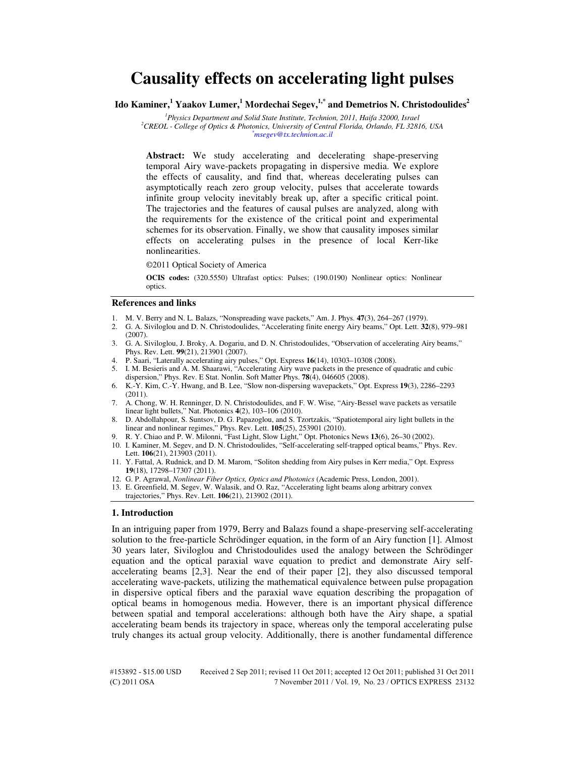# **Causality effects on accelerating light pulses**

**Ido Kaminer,<sup>1</sup> Yaakov Lumer,<sup>1</sup> Mordechai Segev,1,\* and Demetrios N. Christodoulides<sup>2</sup>**

*<sup>1</sup>Physics Department and Solid State Institute, Technion, 2011, Haifa 32000, Israel <sup>2</sup>CREOL - College of Optics & Photonics, University of Central Florida, Orlando, FL 32816, USA \*msegev@tx.technion.ac.il* 

**Abstract:** We study accelerating and decelerating shape-preserving temporal Airy wave-packets propagating in dispersive media. We explore the effects of causality, and find that, whereas decelerating pulses can asymptotically reach zero group velocity, pulses that accelerate towards infinite group velocity inevitably break up, after a specific critical point. The trajectories and the features of causal pulses are analyzed, along with the requirements for the existence of the critical point and experimental schemes for its observation. Finally, we show that causality imposes similar effects on accelerating pulses in the presence of local Kerr-like nonlinearities.

©2011 Optical Society of America

**OCIS codes:** (320.5550) Ultrafast optics: Pulses; (190.0190) Nonlinear optics: Nonlinear optics.

#### **References and links**

- 1. M. V. Berry and N. L. Balazs, "Nonspreading wave packets," Am. J. Phys. **47**(3), 264–267 (1979).
- 2. G. A. Siviloglou and D. N. Christodoulides, "Accelerating finite energy Airy beams," Opt. Lett. **32**(8), 979–981 (2007).
- 3. G. A. Siviloglou, J. Broky, A. Dogariu, and D. N. Christodoulides, "Observation of accelerating Airy beams," Phys. Rev. Lett. **99**(21), 213901 (2007).
- 4. P. Saari, "Laterally accelerating airy pulses," Opt. Express **16**(14), 10303–10308 (2008).
- 5. I. M. Besieris and A. M. Shaarawi, "Accelerating Airy wave packets in the presence of quadratic and cubic dispersion," Phys. Rev. E Stat. Nonlin. Soft Matter Phys. **78**(4), 046605 (2008).
- 6. K.-Y. Kim, C.-Y. Hwang, and B. Lee, "Slow non-dispersing wavepackets," Opt. Express **19**(3), 2286–2293 (2011).
- 7. A. Chong, W. H. Renninger, D. N. Christodoulides, and F. W. Wise, "Airy-Bessel wave packets as versatile linear light bullets," Nat. Photonics **4**(2), 103–106 (2010).
- 8. D. Abdollahpour, S. Suntsov, D. G. Papazoglou, and S. Tzortzakis, "Spatiotemporal airy light bullets in the linear and nonlinear regimes," Phys. Rev. Lett. **105**(25), 253901 (2010).
- 9. R. Y. Chiao and P. W. Milonni, "Fast Light, Slow Light," Opt. Photonics News **13**(6), 26–30 (2002).
- 10. I. Kaminer, M. Segev, and D. N. Christodoulides, "Self-accelerating self-trapped optical beams," Phys. Rev. Lett. **106**(21), 213903 (2011).
- 11. Y. Fattal, A. Rudnick, and D. M. Marom, "Soliton shedding from Airy pulses in Kerr media," Opt. Express **19**(18), 17298–17307 (2011).
- 12. G. P. Agrawal, *Nonlinear Fiber Optics, Optics and Photonics* (Academic Press, London, 2001).
- 13. E. Greenfield, M. Segev, W. Walasik, and O. Raz, "Accelerating light beams along arbitrary convex trajectories," Phys. Rev. Lett. **106**(21), 213902 (2011).

# **1. Introduction**

In an intriguing paper from 1979, Berry and Balazs found a shape-preserving self-accelerating solution to the free-particle Schrödinger equation, in the form of an Airy function [1]. Almost 30 years later, Siviloglou and Christodoulides used the analogy between the Schrödinger equation and the optical paraxial wave equation to predict and demonstrate Airy selfaccelerating beams [2,3]. Near the end of their paper [2], they also discussed temporal accelerating wave-packets, utilizing the mathematical equivalence between pulse propagation in dispersive optical fibers and the paraxial wave equation describing the propagation of optical beams in homogenous media. However, there is an important physical difference between spatial and temporal accelerations: although both have the Airy shape, a spatial accelerating beam bends its trajectory in space, whereas only the temporal accelerating pulse truly changes its actual group velocity. Additionally, there is another fundamental difference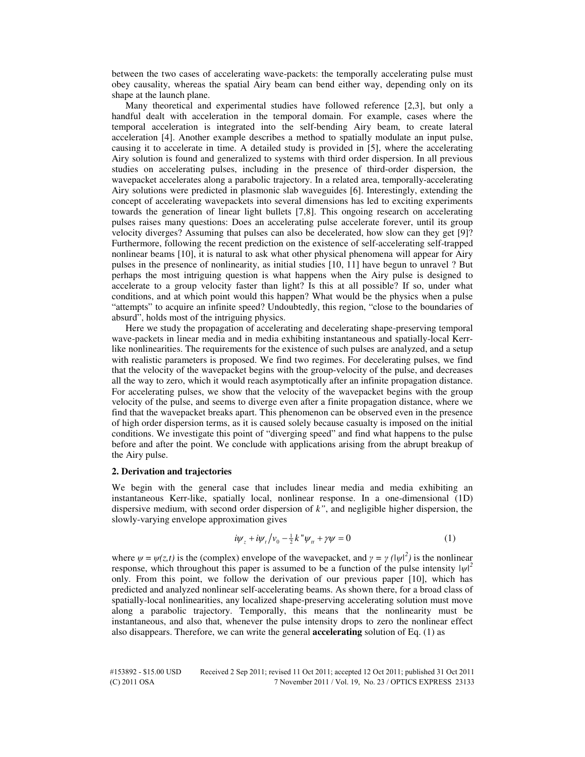between the two cases of accelerating wave-packets: the temporally accelerating pulse must obey causality, whereas the spatial Airy beam can bend either way, depending only on its shape at the launch plane.

Many theoretical and experimental studies have followed reference [2,3], but only a handful dealt with acceleration in the temporal domain. For example, cases where the temporal acceleration is integrated into the self-bending Airy beam, to create lateral acceleration [4]. Another example describes a method to spatially modulate an input pulse, causing it to accelerate in time. A detailed study is provided in [5], where the accelerating Airy solution is found and generalized to systems with third order dispersion. In all previous studies on accelerating pulses, including in the presence of third-order dispersion, the wavepacket accelerates along a parabolic trajectory. In a related area, temporally-accelerating Airy solutions were predicted in plasmonic slab waveguides [6]. Interestingly, extending the concept of accelerating wavepackets into several dimensions has led to exciting experiments towards the generation of linear light bullets [7,8]. This ongoing research on accelerating pulses raises many questions: Does an accelerating pulse accelerate forever, until its group velocity diverges? Assuming that pulses can also be decelerated, how slow can they get [9]? Furthermore, following the recent prediction on the existence of self-accelerating self-trapped nonlinear beams [10], it is natural to ask what other physical phenomena will appear for Airy pulses in the presence of nonlinearity, as initial studies [10, 11] have begun to unravel ? But perhaps the most intriguing question is what happens when the Airy pulse is designed to accelerate to a group velocity faster than light? Is this at all possible? If so, under what conditions, and at which point would this happen? What would be the physics when a pulse "attempts" to acquire an infinite speed? Undoubtedly, this region, "close to the boundaries of absurd", holds most of the intriguing physics.

Here we study the propagation of accelerating and decelerating shape-preserving temporal wave-packets in linear media and in media exhibiting instantaneous and spatially-local Kerrlike nonlinearities. The requirements for the existence of such pulses are analyzed, and a setup with realistic parameters is proposed. We find two regimes. For decelerating pulses, we find that the velocity of the wavepacket begins with the group-velocity of the pulse, and decreases all the way to zero, which it would reach asymptotically after an infinite propagation distance. For accelerating pulses, we show that the velocity of the wavepacket begins with the group velocity of the pulse, and seems to diverge even after a finite propagation distance, where we find that the wavepacket breaks apart. This phenomenon can be observed even in the presence of high order dispersion terms, as it is caused solely because casualty is imposed on the initial conditions. We investigate this point of "diverging speed" and find what happens to the pulse before and after the point. We conclude with applications arising from the abrupt breakup of the Airy pulse.

## **2. Derivation and trajectories**

We begin with the general case that includes linear media and media exhibiting an instantaneous Kerr-like, spatially local, nonlinear response. In a one-dimensional (1D) dispersive medium, with second order dispersion of *k"*, and negligible higher dispersion, the slowly-varying envelope approximation gives

$$
i\psi_z + i\psi_t / v_0 - \frac{1}{2}k''\psi_{tt} + \gamma\psi = 0 \tag{1}
$$

where  $\psi = \psi(z, t)$  is the (complex) envelope of the wavepacket, and  $\gamma = \gamma (\vert \psi \vert^2)$  is the nonlinear response, which throughout this paper is assumed to be a function of the pulse intensity  $|\psi|^2$ only. From this point, we follow the derivation of our previous paper [10], which has predicted and analyzed nonlinear self-accelerating beams. As shown there, for a broad class of spatially-local nonlinearities, any localized shape-preserving accelerating solution must move along a parabolic trajectory. Temporally, this means that the nonlinearity must be instantaneous, and also that, whenever the pulse intensity drops to zero the nonlinear effect also disappears. Therefore, we can write the general **accelerating** solution of Eq. (1) as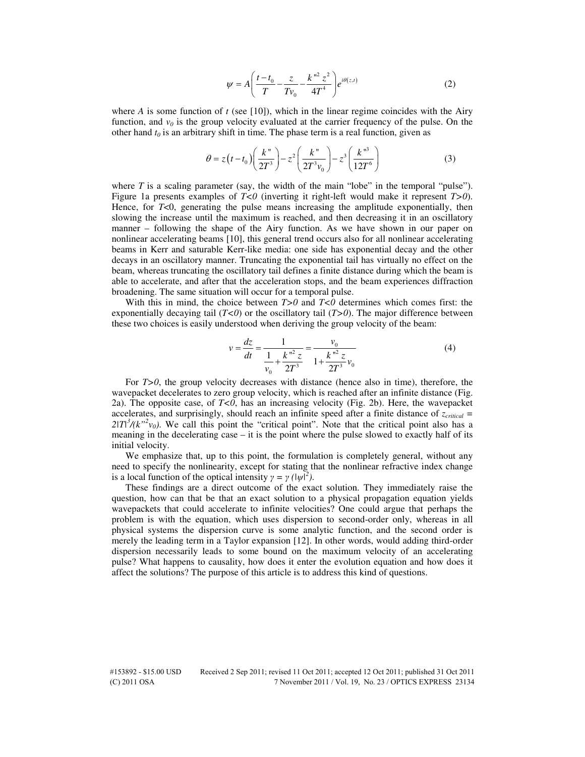$$
\psi = A \left( \frac{t - t_0}{T} - \frac{z}{T v_0} - \frac{k^{\prime \prime 2} z^2}{4T^4} \right) e^{i \theta(z, t)}
$$
(2)

where *A* is some function of  $t$  (see [10]), which in the linear regime coincides with the Airy function, and  $v_0$  is the group velocity evaluated at the carrier frequency of the pulse. On the other hand  $t_0$  is an arbitrary shift in time. The phase term is a real function, given as

$$
\theta = z(t - t_0) \left( \frac{k''}{2T^3} \right) - z^2 \left( \frac{k''}{2T^3 v_0} \right) - z^3 \left( \frac{k''^3}{12T^6} \right) \tag{3}
$$

where  $T$  is a scaling parameter (say, the width of the main "lobe" in the temporal "pulse"). Figure 1a presents examples of *T<0* (inverting it right-left would make it represent *T>0*). Hence, for *T*<0, generating the pulse means increasing the amplitude exponentially, then slowing the increase until the maximum is reached, and then decreasing it in an oscillatory manner – following the shape of the Airy function. As we have shown in our paper on nonlinear accelerating beams [10], this general trend occurs also for all nonlinear accelerating beams in Kerr and saturable Kerr-like media: one side has exponential decay and the other decays in an oscillatory manner. Truncating the exponential tail has virtually no effect on the beam, whereas truncating the oscillatory tail defines a finite distance during which the beam is able to accelerate, and after that the acceleration stops, and the beam experiences diffraction broadening. The same situation will occur for a temporal pulse.

With this in mind, the choice between *T>0* and *T<0* determines which comes first: the exponentially decaying tail  $(T<0)$  or the oscillatory tail  $(T>0)$ . The major difference between these two choices is easily understood when deriving the group velocity of the beam:

$$
v = \frac{dz}{dt} = \frac{1}{\frac{1}{v_0} + \frac{k^{n^2} z}{2T^3}} = \frac{v_0}{1 + \frac{k^{n^2} z}{2T^3} v_0}
$$
(4)

For *T>0*, the group velocity decreases with distance (hence also in time), therefore, the wavepacket decelerates to zero group velocity, which is reached after an infinite distance (Fig. 2a). The opposite case, of *T<0*, has an increasing velocity (Fig. 2b). Here, the wavepacket accelerates, and surprisingly, should reach an infinite speed after a finite distance of *zcritical =*   $2|T|^3/(k^{3/2}v_0)$ . We call this point the "critical point". Note that the critical point also has a meaning in the decelerating case – it is the point where the pulse slowed to exactly half of its initial velocity.

We emphasize that, up to this point, the formulation is completely general, without any need to specify the nonlinearity, except for stating that the nonlinear refractive index change is a local function of the optical intensity  $\gamma = \gamma (\vert \psi \vert^2)$ .

These findings are a direct outcome of the exact solution. They immediately raise the question, how can that be that an exact solution to a physical propagation equation yields wavepackets that could accelerate to infinite velocities? One could argue that perhaps the problem is with the equation, which uses dispersion to second-order only, whereas in all physical systems the dispersion curve is some analytic function, and the second order is merely the leading term in a Taylor expansion [12]. In other words, would adding third-order dispersion necessarily leads to some bound on the maximum velocity of an accelerating pulse? What happens to causality, how does it enter the evolution equation and how does it affect the solutions? The purpose of this article is to address this kind of questions.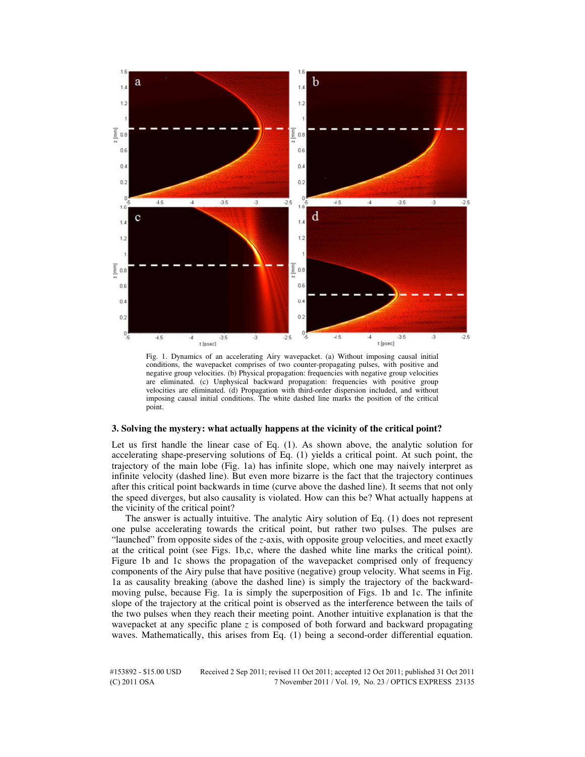

Fig. 1. Dynamics of an accelerating Airy wavepacket. (a) Without imposing causal initial conditions, the wavepacket comprises of two counter-propagating pulses, with positive and negative group velocities. (b) Physical propagation: frequencies with negative group velocities are eliminated. (c) Unphysical backward propagation: frequencies with positive group velocities are eliminated. (d) Propagation with third-order dispersion included, and without imposing causal initial conditions. The white dashed line marks the position of the critical point.

#### **3. Solving the mystery: what actually happens at the vicinity of the critical point?**

Let us first handle the linear case of Eq. (1). As shown above, the analytic solution for accelerating shape-preserving solutions of Eq. (1) yields a critical point. At such point, the trajectory of the main lobe (Fig. 1a) has infinite slope, which one may naively interpret as infinite velocity (dashed line). But even more bizarre is the fact that the trajectory continues after this critical point backwards in time (curve above the dashed line). It seems that not only the speed diverges, but also causality is violated. How can this be? What actually happens at the vicinity of the critical point?

The answer is actually intuitive. The analytic Airy solution of Eq. (1) does not represent one pulse accelerating towards the critical point, but rather two pulses. The pulses are "launched" from opposite sides of the *z*-axis, with opposite group velocities, and meet exactly at the critical point (see Figs. 1b,c, where the dashed white line marks the critical point). Figure 1b and 1c shows the propagation of the wavepacket comprised only of frequency components of the Airy pulse that have positive (negative) group velocity. What seems in Fig. 1a as causality breaking (above the dashed line) is simply the trajectory of the backwardmoving pulse, because Fig. 1a is simply the superposition of Figs. 1b and 1c. The infinite slope of the trajectory at the critical point is observed as the interference between the tails of the two pulses when they reach their meeting point. Another intuitive explanation is that the wavepacket at any specific plane *z* is composed of both forward and backward propagating waves. Mathematically, this arises from Eq. (1) being a second-order differential equation.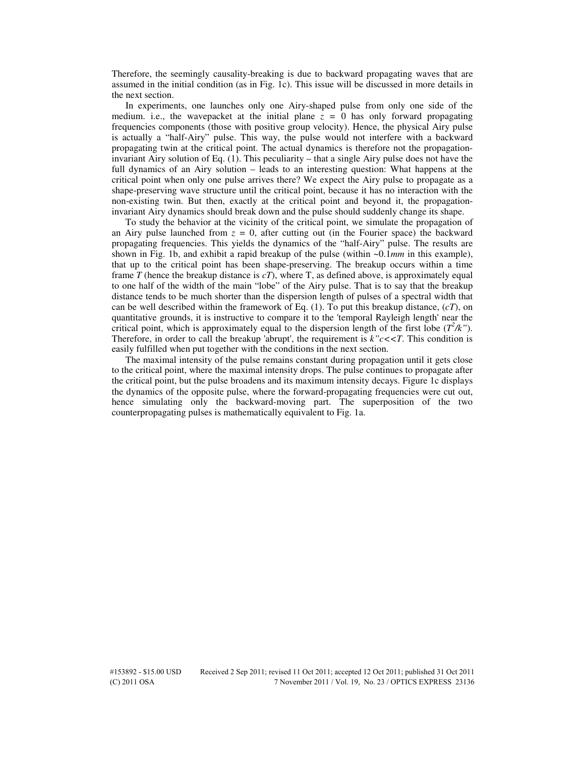Therefore, the seemingly causality-breaking is due to backward propagating waves that are assumed in the initial condition (as in Fig. 1c). This issue will be discussed in more details in the next section.

In experiments, one launches only one Airy-shaped pulse from only one side of the medium. i.e., the wavepacket at the initial plane  $z = 0$  has only forward propagating frequencies components (those with positive group velocity). Hence, the physical Airy pulse is actually a "half-Airy" pulse. This way, the pulse would not interfere with a backward propagating twin at the critical point. The actual dynamics is therefore not the propagationinvariant Airy solution of Eq. (1). This peculiarity – that a single Airy pulse does not have the full dynamics of an Airy solution – leads to an interesting question: What happens at the critical point when only one pulse arrives there? We expect the Airy pulse to propagate as a shape-preserving wave structure until the critical point, because it has no interaction with the non-existing twin. But then, exactly at the critical point and beyond it, the propagationinvariant Airy dynamics should break down and the pulse should suddenly change its shape.

To study the behavior at the vicinity of the critical point, we simulate the propagation of an Airy pulse launched from  $z = 0$ , after cutting out (in the Fourier space) the backward propagating frequencies. This yields the dynamics of the "half-Airy" pulse. The results are shown in Fig. 1b, and exhibit a rapid breakup of the pulse (within ~0.1*mm* in this example), that up to the critical point has been shape-preserving. The breakup occurs within a time frame *T* (hence the breakup distance is  $cT$ ), where T, as defined above, is approximately equal to one half of the width of the main "lobe" of the Airy pulse. That is to say that the breakup distance tends to be much shorter than the dispersion length of pulses of a spectral width that can be well described within the framework of Eq.  $(1)$ . To put this breakup distance,  $(cT)$ , on quantitative grounds, it is instructive to compare it to the 'temporal Rayleigh length' near the critical point, which is approximately equal to the dispersion length of the first lobe  $(T^2/k)$ . Therefore, in order to call the breakup 'abrupt', the requirement is  $k''c\lt T$ . This condition is easily fulfilled when put together with the conditions in the next section.

The maximal intensity of the pulse remains constant during propagation until it gets close to the critical point, where the maximal intensity drops. The pulse continues to propagate after the critical point, but the pulse broadens and its maximum intensity decays. Figure 1c displays the dynamics of the opposite pulse, where the forward-propagating frequencies were cut out, hence simulating only the backward-moving part. The superposition of the two counterpropagating pulses is mathematically equivalent to Fig. 1a.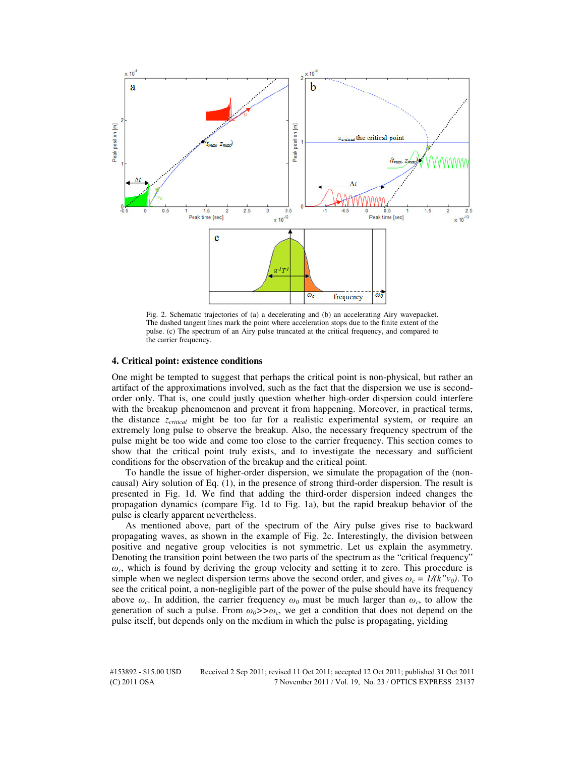

Fig. 2. Schematic trajectories of (a) a decelerating and (b) an accelerating Airy wavepacket. The dashed tangent lines mark the point where acceleration stops due to the finite extent of the pulse. (c) The spectrum of an Airy pulse truncated at the critical frequency, and compared to the carrier frequency.

#### **4. Critical point: existence conditions**

One might be tempted to suggest that perhaps the critical point is non-physical, but rather an artifact of the approximations involved, such as the fact that the dispersion we use is secondorder only. That is, one could justly question whether high-order dispersion could interfere with the breakup phenomenon and prevent it from happening. Moreover, in practical terms, the distance *zcritical* might be too far for a realistic experimental system, or require an extremely long pulse to observe the breakup. Also, the necessary frequency spectrum of the pulse might be too wide and come too close to the carrier frequency. This section comes to show that the critical point truly exists, and to investigate the necessary and sufficient conditions for the observation of the breakup and the critical point.

To handle the issue of higher-order dispersion, we simulate the propagation of the (noncausal) Airy solution of Eq. (1), in the presence of strong third-order dispersion. The result is presented in Fig. 1d. We find that adding the third-order dispersion indeed changes the propagation dynamics (compare Fig. 1d to Fig. 1a), but the rapid breakup behavior of the pulse is clearly apparent nevertheless.

As mentioned above, part of the spectrum of the Airy pulse gives rise to backward propagating waves, as shown in the example of Fig. 2c. Interestingly, the division between positive and negative group velocities is not symmetric. Let us explain the asymmetry. Denoting the transition point between the two parts of the spectrum as the "critical frequency" *ωc* , which is found by deriving the group velocity and setting it to zero. This procedure is simple when we neglect dispersion terms above the second order, and gives  $\omega_c = I/(k''v_0)$ . To see the critical point, a non-negligible part of the power of the pulse should have its frequency above  $\omega_c$ . In addition, the carrier frequency  $\omega_0$  must be much larger than  $\omega_c$ , to allow the generation of such a pulse. From  $\omega_0$ >> $\omega_c$ , we get a condition that does not depend on the pulse itself, but depends only on the medium in which the pulse is propagating, yielding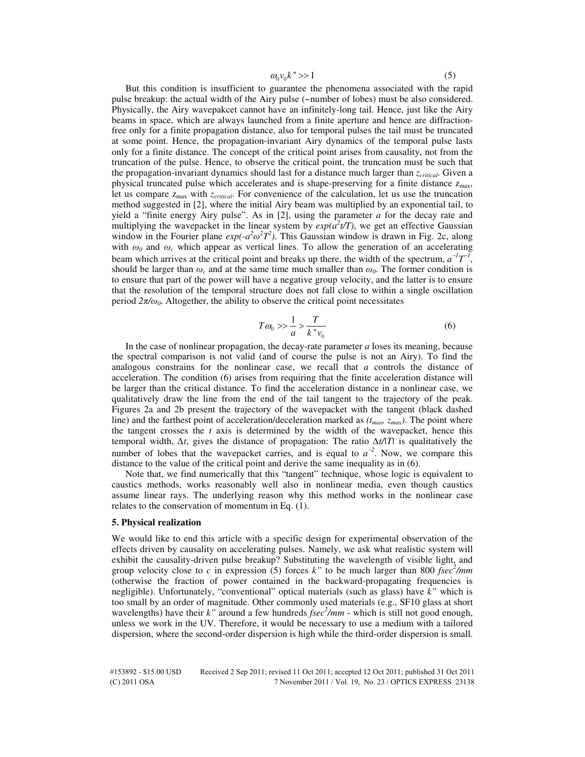$$
\omega_0 v_0 k \implies 1 \tag{5}
$$

But this condition is insufficient to guarantee the phenomena associated with the rapid pulse breakup: the actual width of the Airy pulse (~number of lobes) must be also considered. Physically, the Airy wavepakcet cannot have an infinitely-long tail. Hence, just like the Airy beams in space, which are always launched from a finite aperture and hence are diffractionfree only for a finite propagation distance, also for temporal pulses the tail must be truncated at some point. Hence, the propagation-invariant Airy dynamics of the temporal pulse lasts only for a finite distance. The concept of the critical point arises from causality, not from the truncation of the pulse. Hence, to observe the critical point, the truncation must be such that the propagation-invariant dynamics should last for a distance much larger than *zcritical*. Given a physical truncated pulse which accelerates and is shape-preserving for a finite distance  $z_{max}$ , let us compare  $z_{max}$  with  $z_{critical}$ . For convenience of the calculation, let us use the truncation method suggested in [2], where the initial Airy beam was multiplied by an exponential tail, to yield a "finite energy Airy pulse". As in [2], using the parameter *a* for the decay rate and multiplying the wavepacket in the linear system by  $exp(a^2 t/T)$ , we get an effective Gaussian window in the Fourier plane  $exp(-a^2\omega^2T^2)$ . This Gaussian window is drawn in Fig. 2c, along with  $\omega_0$  and  $\omega_c$  which appear as vertical lines. To allow the generation of an accelerating beam which arrives at the critical point and breaks up there, the width of the spectrum,  $a^{-1}T^{-1}$ , should be larger than  $\omega_c$  and at the same time much smaller than  $\omega_0$ . The former condition is to ensure that part of the power will have a negative group velocity, and the latter is to ensure that the resolution of the temporal structure does not fall close to within a single oscillation period  $2\pi/\omega_0$ . Altogether, the ability to observe the critical point necessitates

$$
T\omega_0 \gg \frac{1}{a} > \frac{T}{k''v_0} \tag{6}
$$

In the case of nonlinear propagation, the decay-rate parameter *a* loses its meaning, because the spectral comparison is not valid (and of course the pulse is not an Airy). To find the analogous constrains for the nonlinear case, we recall that *a* controls the distance of acceleration. The condition (6) arises from requiring that the finite acceleration distance will be larger than the critical distance. To find the acceleration distance in a nonlinear case, we qualitatively draw the line from the end of the tail tangent to the trajectory of the peak. Figures 2a and 2b present the trajectory of the wavepacket with the tangent (black dashed line) and the farthest point of acceleration/deceleration marked as  $(t_{max}, z_{max})$ . The point where the tangent crosses the  $t$  axis is determined by the width of the wavepacket, hence this temporal width, *∆t*, gives the distance of propagation: The ratio *∆t/|T|* is qualitatively the number of lobes that the wavepacket carries, and is equal to  $a^{-2}$ . Now, we compare this distance to the value of the critical point and derive the same inequality as in (6).

Note that, we find numerically that this "tangent" technique, whose logic is equivalent to caustics methods, works reasonably well also in nonlinear media, even though caustics assume linear rays. The underlying reason why this method works in the nonlinear case relates to the conservation of momentum in Eq. (1).

### **5. Physical realization**

We would like to end this article with a specific design for experimental observation of the effects driven by causality on accelerating pulses. Namely, we ask what realistic system will exhibit the causality-driven pulse breakup? Substituting the wavelength of visible light, and group velocity close to *c* in expression (5) forces *k"* to be much larger than 800 *fsec<sup>2</sup> /mm* (otherwise the fraction of power contained in the backward-propagating frequencies is negligible). Unfortunately, "conventional" optical materials (such as glass) have *k"* which is too small by an order of magnitude. Other commonly used materials (e.g., SF10 glass at short wavelengths) have their *k"* around a few hundreds *fsec<sup>2</sup> /mm* - which is still not good enough, unless we work in the UV. Therefore, it would be necessary to use a medium with a tailored dispersion, where the second-order dispersion is high while the third-order dispersion is small.